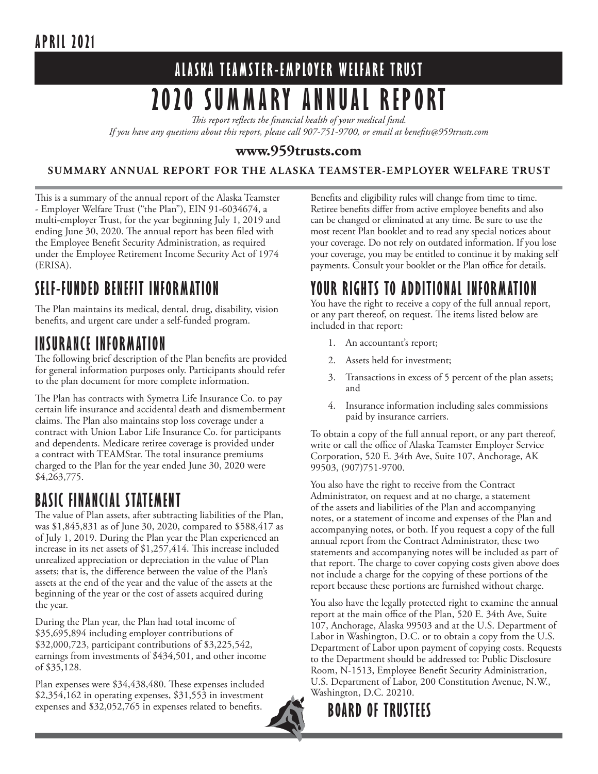### **APRIL 2021**

# **ALASKA TEAMSTER-EMPLOYER WELFARE TRUST 2020 SUMMARY ANNUAL REPORT**

*This report reflects the financial health of your medical fund.* 

*If you have any questions about this report, please call 907-751-9700, or email at benefits@959trusts.com* 

#### **www.959trusts.com**

**SUMMARY ANNUAL REPORT FOR THE ALASKA TEAMSTER-EMPLOYER WELFARE TRUST**

This is a summary of the annual report of the Alaska Teamster - Employer Welfare Trust ("the Plan"), EIN 91-6034674, a multi-employer Trust, for the year beginning July 1, 2019 and ending June 30, 2020. The annual report has been filed with the Employee Benefit Security Administration, as required under the Employee Retirement Income Security Act of 1974 (ERISA).

## **SELF-FUNDED BENEFIT INFORMATION**

The Plan maintains its medical, dental, drug, disability, vision benefits, and urgent care under a self-funded program.

### **INSURANCE INFORMATION**

The following brief description of the Plan benefits are provided for general information purposes only. Participants should refer to the plan document for more complete information.

The Plan has contracts with Symetra Life Insurance Co. to pay certain life insurance and accidental death and dismemberment claims. The Plan also maintains stop loss coverage under a contract with Union Labor Life Insurance Co. for participants and dependents. Medicare retiree coverage is provided under a contract with TEAMStar. The total insurance premiums charged to the Plan for the year ended June 30, 2020 were \$4,263,775.

#### **BASIC FINANCIAL STATEMENT**

The value of Plan assets, after subtracting liabilities of the Plan, was \$1,845,831 as of June 30, 2020, compared to \$588,417 as of July 1, 2019. During the Plan year the Plan experienced an increase in its net assets of \$1,257,414. This increase included unrealized appreciation or depreciation in the value of Plan assets; that is, the difference between the value of the Plan's assets at the end of the year and the value of the assets at the beginning of the year or the cost of assets acquired during the year.

During the Plan year, the Plan had total income of \$35,695,894 including employer contributions of \$32,000,723, participant contributions of \$3,225,542, earnings from investments of \$434,501, and other income of \$35,128.

Plan expenses were \$34,438,480. These expenses included  $$2,354,162$  in operating expenses,  $$31,553$  in investment expenses and \$32,052,765 in expenses related to benefits.

Benefits and eligibility rules will change from time to time. Retiree benefits differ from active employee benefits and also can be changed or eliminated at any time. Be sure to use the most recent Plan booklet and to read any special notices about your coverage. Do not rely on outdated information. If you lose your coverage, you may be entitled to continue it by making self payments. Consult your booklet or the Plan office for details.

#### **YOUR RIGHTS TO ADDITIONAL INFORMATION**

You have the right to receive a copy of the full annual report, or any part thereof, on request. The items listed below are included in that report:

- 1. An accountant's report;
- 2. Assets held for investment;
- 3. Transactions in excess of 5 percent of the plan assets; and
- 4. Insurance information including sales commissions paid by insurance carriers.

To obtain a copy of the full annual report, or any part thereof, write or call the office of Alaska Teamster Employer Service Corporation, 520 E. 34th Ave, Suite 107, Anchorage, AK 99503, (907)751-9700.

You also have the right to receive from the Contract Administrator, on request and at no charge, a statement of the assets and liabilities of the Plan and accompanying notes, or a statement of income and expenses of the Plan and accompanying notes, or both. If you request a copy of the full annual report from the Contract Administrator, these two statements and accompanying notes will be included as part of that report. The charge to cover copying costs given above does not include a charge for the copying of these portions of the report because these portions are furnished without charge.

You also have the legally protected right to examine the annual report at the main office of the Plan, 520 E. 34th Ave, Suite 107, Anchorage, Alaska 99503 and at the U.S. Department of Labor in Washington, D.C. or to obtain a copy from the U.S. Department of Labor upon payment of copying costs. Requests to the Department should be addressed to: Public Disclosure Room, N-1513, Employee Benefit Security Administration, U.S. Department of Labor, 200 Constitution Avenue, N.W., Washington, D.C. 20210.

**BOARD OF TRUSTEES**